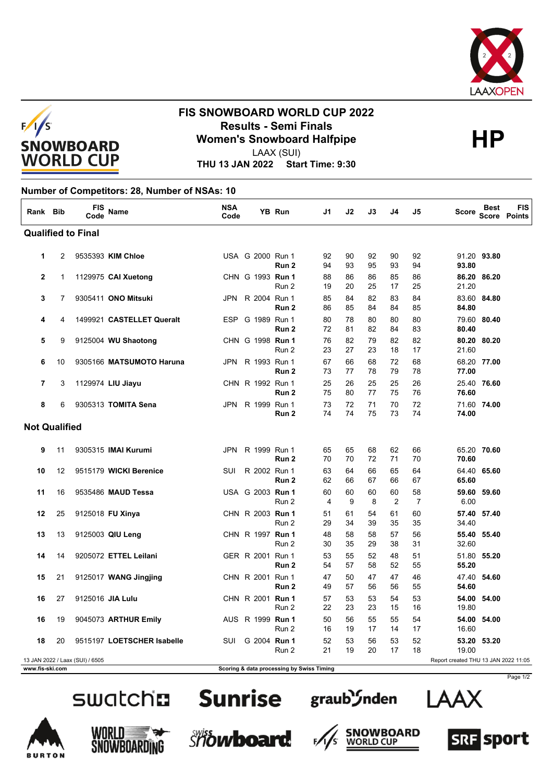



### **FIS SNOWBOARD WORLD CUP 2022 Results - Semi Finals<br>
Women's Snowboard Halfpipe<br>
HP** LAAX (SUI)

**THU 13 JAN 2022 Start Time: 9:30**

### **Number of Competitors: 28, Number of NSAs: 10**

| Rank Bib                  |                                                                         | <b>FIS</b><br>Code | Name                       | <b>NSA</b><br>Code |                  | YB Run           | J1       | J2       | J3       | J4       | J5                   | <b>Score</b> | <b>Best</b> | <b>FIS</b><br><b>Score Points</b> |
|---------------------------|-------------------------------------------------------------------------|--------------------|----------------------------|--------------------|------------------|------------------|----------|----------|----------|----------|----------------------|--------------|-------------|-----------------------------------|
| <b>Qualified to Final</b> |                                                                         |                    |                            |                    |                  |                  |          |          |          |          |                      |              |             |                                   |
| 1                         | 2                                                                       |                    | 9535393 KIM Chloe          |                    | USA G 2000 Run 1 | Run 2            | 92<br>94 | 90<br>93 | 92<br>95 | 90<br>93 | 92<br>94             | 93.80        | 91.20 93.80 |                                   |
| $\overline{2}$            | 1                                                                       |                    | 1129975 CAI Xuetong        |                    | CHN G 1993 Run 1 | Run 2            | 88<br>19 | 86<br>20 | 86<br>25 | 85<br>17 | 86<br>25             | 21.20        | 86.20 86.20 |                                   |
| 3                         | 7                                                                       |                    | 9305411 ONO Mitsuki        | JPN                | R 2004 Run 1     | Run 2            | 85<br>86 | 84<br>85 | 82<br>84 | 83<br>84 | 84<br>85             | 84.80        | 83.60 84.80 |                                   |
| 4                         | 4                                                                       |                    | 1499921 CASTELLET Queralt  | <b>ESP</b>         | G 1989 Run 1     | Run 2            | 80<br>72 | 78<br>81 | 80<br>82 | 80<br>84 | 80<br>83             | 80.40        | 79.60 80.40 |                                   |
| 5                         | 9                                                                       |                    | 9125004 WU Shaotong        |                    | CHN G 1998 Run 1 | Run 2            | 76<br>23 | 82<br>27 | 79<br>23 | 82<br>18 | 82<br>17             | 21.60        | 80.20 80.20 |                                   |
| 6                         | 10                                                                      |                    | 9305166 MATSUMOTO Haruna   | JPN                | R 1993 Run 1     | Run <sub>2</sub> | 67<br>73 | 66<br>77 | 68<br>78 | 72<br>79 | 68<br>78             | 77.00        | 68.20 77.00 |                                   |
| $\overline{7}$            | 3                                                                       |                    | 1129974 LIU Jiayu          |                    | CHN R 1992 Run 1 | Run 2            | 25<br>75 | 26<br>80 | 25<br>77 | 25<br>75 | 26<br>76             | 76.60        | 25.40 76.60 |                                   |
| 8                         | 6                                                                       |                    | 9305313 TOMITA Sena        | JPN                | R 1999 Run 1     | Run 2            | 73<br>74 | 72<br>74 | 71<br>75 | 70<br>73 | 72<br>74             | 74.00        | 71.60 74.00 |                                   |
| <b>Not Qualified</b>      |                                                                         |                    |                            |                    |                  |                  |          |          |          |          |                      |              |             |                                   |
| 9                         | 11                                                                      |                    | 9305315 IMAI Kurumi        | <b>JPN</b>         | R 1999 Run 1     | Run <sub>2</sub> | 65<br>70 | 65<br>70 | 68<br>72 | 62<br>71 | 66<br>70             | 70.60        | 65.20 70.60 |                                   |
| 10                        | 12                                                                      |                    | 9515179 WICKI Berenice     | <b>SUI</b>         | R 2002 Run 1     | Run 2            | 63<br>62 | 64<br>66 | 66<br>67 | 65<br>66 | 64<br>67             | 65.60        | 64.40 65.60 |                                   |
| 11                        | 16                                                                      |                    | 9535486 MAUD Tessa         |                    | USA G 2003 Run 1 | Run 2            | 60<br>4  | 60<br>9  | 60<br>8  | 60<br>2  | 58<br>$\overline{7}$ | 6.00         | 59.60 59.60 |                                   |
| 12                        | 25                                                                      |                    | 9125018 FU Xinya           |                    | CHN R 2003 Run 1 | Run 2            | 51<br>29 | 61<br>34 | 54<br>39 | 61<br>35 | 60<br>35             | 34.40        | 57.40 57.40 |                                   |
| 13                        | 13                                                                      |                    | 9125003 QIU Leng           |                    | CHN R 1997 Run 1 | Run 2            | 48<br>30 | 58<br>35 | 58<br>29 | 57<br>38 | 56<br>31             | 32.60        | 55.40 55.40 |                                   |
| 14                        | 14                                                                      |                    | 9205072 ETTEL Leilani      |                    | GER R 2001 Run 1 | Run 2            | 53<br>54 | 55<br>57 | 52<br>58 | 48<br>52 | 51<br>55             | 55.20        | 51.80 55.20 |                                   |
| 15                        | 21                                                                      |                    | 9125017 WANG Jingjing      |                    | CHN R 2001 Run 1 | Run 2            | 47<br>49 | 50<br>57 | 47<br>56 | 47<br>56 | 46<br>55             | 54.60        | 47.40 54.60 |                                   |
| 16                        | 27                                                                      |                    | 9125016 JIA Lulu           |                    | CHN R 2001 Run 1 | Run 2            | 57<br>22 | 53<br>23 | 53<br>23 | 54<br>15 | 53<br>16             | 19.80        | 54.00 54.00 |                                   |
| 16                        | 19                                                                      |                    | 9045073 ARTHUR Emily       |                    | AUS R 1999 Run 1 | Run 2            | 50<br>16 | 56<br>19 | 55<br>17 | 55<br>14 | 54<br>17             | 16.60        | 54.00 54.00 |                                   |
| 18                        | 20                                                                      |                    | 9515197 LOETSCHER Isabelle | SUI                | G 2004 Run 1     | Run 2            | 52<br>21 | 53<br>19 | 56<br>20 | 53<br>17 | 52<br>18             | 19.00        | 53.20 53.20 |                                   |
|                           | 13 JAN 2022 / Laax (SUI) / 6505<br>Report created THU 13 JAN 2022 11:05 |                    |                            |                    |                  |                  |          |          |          |          |                      |              |             |                                   |







 $F$ 













Page 1/2